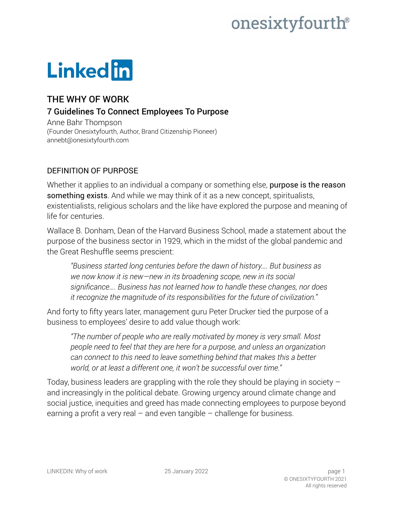## onesixtyfourth®

# **Linked** in

### THE WHY OF WORK

#### 7 Guidelines To Connect Employees To Purpose

Anne Bahr Thompson (Founder [Onesixtyfourth,](https://www.onesixtyfourth.com/) Author, Brand Citizenship Pioneer) annebt@onesixtyfourth.com

#### DEFINITION OF PURPOSE

Whether it applies to an individual a company or something else, **purpose is the reason** something exists. And while we may think of it as a new concept, spiritualists, existentialists, religious scholars and the like have explored the purpose and meaning of life for centuries.

Wallace B. Donham, Dean of the Harvard Business School, made a statement about the purpose of the business sector in 1929, which in the midst of the global pandemic and the Great Reshuffle seems prescient:

*"Business started long centuries before the dawn of history…. But business as we now know it is new—new in its broadening scope, new in its social significance…. Business has not learned how to handle these changes, nor does it recognize the magnitude of its responsibilities for the future of civilization."* 

And forty to fifty years later, management guru Peter Drucker tied the purpose of a business to employees' desire to add value though work:

*"The number of people who are really motivated by money is very small. Most people need to feel that they are here for a purpose, and unless an organization can connect to this need to leave something behind that makes this a better world, or at least a different one, it won't be successful over time."* 

Today, business leaders are grappling with the role they should be playing in society  $$ and increasingly in the political debate. Growing urgency around climate change and social justice, inequities and greed has made connecting employees to purpose beyond earning a profit a very real  $-$  and even tangible  $-$  challenge for business.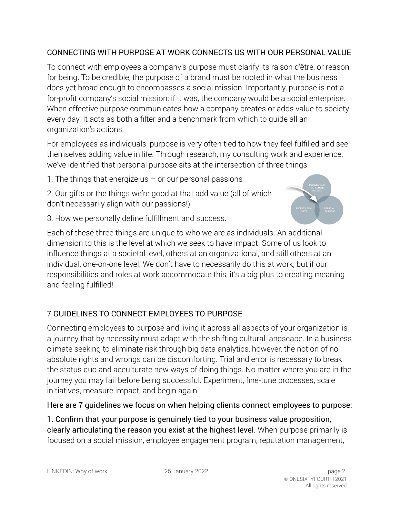#### CONNECTING WITH PURPOSE AT WORK CONNECTS US WITH OUR PERSONAL VALUE

To connect with employees a company's purpose must clarify its raison d'être, or reason for being. To be credible, the purpose of a brand must be rooted in what the business does yet broad enough to encompasses a social mission. Importantly, purpose is not a for-profit company's social mission; if it was, the company would be a social enterprise. When effective purpose communicates how a company creates or adds value to society every day. It acts as both a filter and a benchmark from which to guide all an organization's actions.

For employees as individuals, purpose is very often tied to how they feel fulfilled and see themselves adding value in life. Through research, my consulting work and experience, we've identified that personal purpose sits at the intersection of three things:

1. The things that energize us  $-$  or our personal passions

2. Our gifts or the things we're good at that add value (all of which don't necessarily align with our passions!)

3. How we personally define fulfillment and success.



Each of these three things are unique to who we are as individuals. An additional dimension to this is the level at which we seek to have impact. Some of us look to influence things at a societal level, others at an organizational, and still others at an individual, one-on-one level. We don't have to necessarily do this at work, but if our responsibilities and roles at work accommodate this, it's a big plus to creating meaning and feeling fulfilled!

#### 7 GUIDELINES TO CONNECT EMPLOYEES TO PURPOSE

Connecting employees to purpose and living it across all aspects of your organization is a journey that by necessity must adapt with the shifting cultural landscape. In a business climate seeking to eliminate risk through big data analytics, however, the notion of no absolute rights and wrongs can be discomforting. Trial and error is necessary to break the status quo and acculturate new ways of doing things. No matter where you are in the journey you may fail before being successful. Experiment, fine-tune processes, scale initiatives, measure impact, and begin again.

#### Here are 7 guidelines we focus on when helping clients connect employees to purpose:

1. Confirm that your purpose is genuinely tied to your business value proposition, clearly articulating the reason you exist at the highest level. When purpose primarily is focused on a social mission, employee engagement program, reputation management,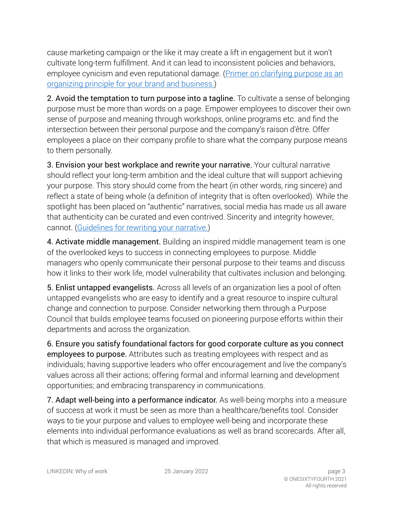cause marketing campaign or the like it may create a lift in engagement but it won't cultivate long-term fulfillment. And it can lead to inconsistent policies and behaviors, employee cynicism and even reputational damage. [\(Primer on clarifying purpose as an](https://www.onesixtyfourth.com/purpose-identifying-an-organizing-principle-for-your-brand-and-company/)  [organizing principle for your brand and business.\)](https://www.onesixtyfourth.com/purpose-identifying-an-organizing-principle-for-your-brand-and-company/)

2. Avoid the temptation to turn purpose into a tagline. To cultivate a sense of belonging purpose must be more than words on a page. Empower employees to discover their own sense of purpose and meaning through workshops, online programs etc. and find the intersection between their personal purpose and the company's raison d'être. Offer employees a place on their company profile to share what the company purpose means to them personally.

3. Envision your best workplace and rewrite your narrative. Your cultural narrative should reflect your long-term ambition and the ideal culture that will support achieving your purpose. This story should come from the heart (in other words, ring sincere) and reflect a state of being whole (a definition of integrity that is often overlooked). While the spotlight has been placed on "authentic" narratives, social media has made us all aware that authenticity can be curated and even contrived. Sincerity and integrity however, cannot. [\(Guidelines for rewriting your narrative.](https://www.onesixtyfourth.com/5-guidelines-for-rewriting-your-employer-narrative-transforming-your-cultural-story/))

4. Activate middle management. Building an inspired middle management team is one of the overlooked keys to success in connecting employees to purpose. Middle managers who openly communicate their personal purpose to their teams and discuss how it links to their work life, model vulnerability that cultivates inclusion and belonging.

5. Enlist untapped evangelists. Across all levels of an organization lies a pool of often untapped evangelists who are easy to identify and a great resource to inspire cultural change and connection to purpose. Consider networking them through a Purpose Council that builds employee teams focused on pioneering purpose efforts within their departments and across the organization.

6. Ensure you satisfy foundational factors for good corporate culture as you connect employees to purpose. Attributes such as treating employees with respect and as individuals; having supportive leaders who offer encouragement and live the company's values across all their actions; offering formal and informal learning and development opportunities; and embracing transparency in communications.

7. Adapt well-being into a performance indicator. As well-being morphs into a measure of success at work it must be seen as more than a healthcare/benefits tool. Consider ways to tie your purpose and values to employee well-being and incorporate these elements into individual performance evaluations as well as brand scorecards. After all, that which is measured is managed and improved.